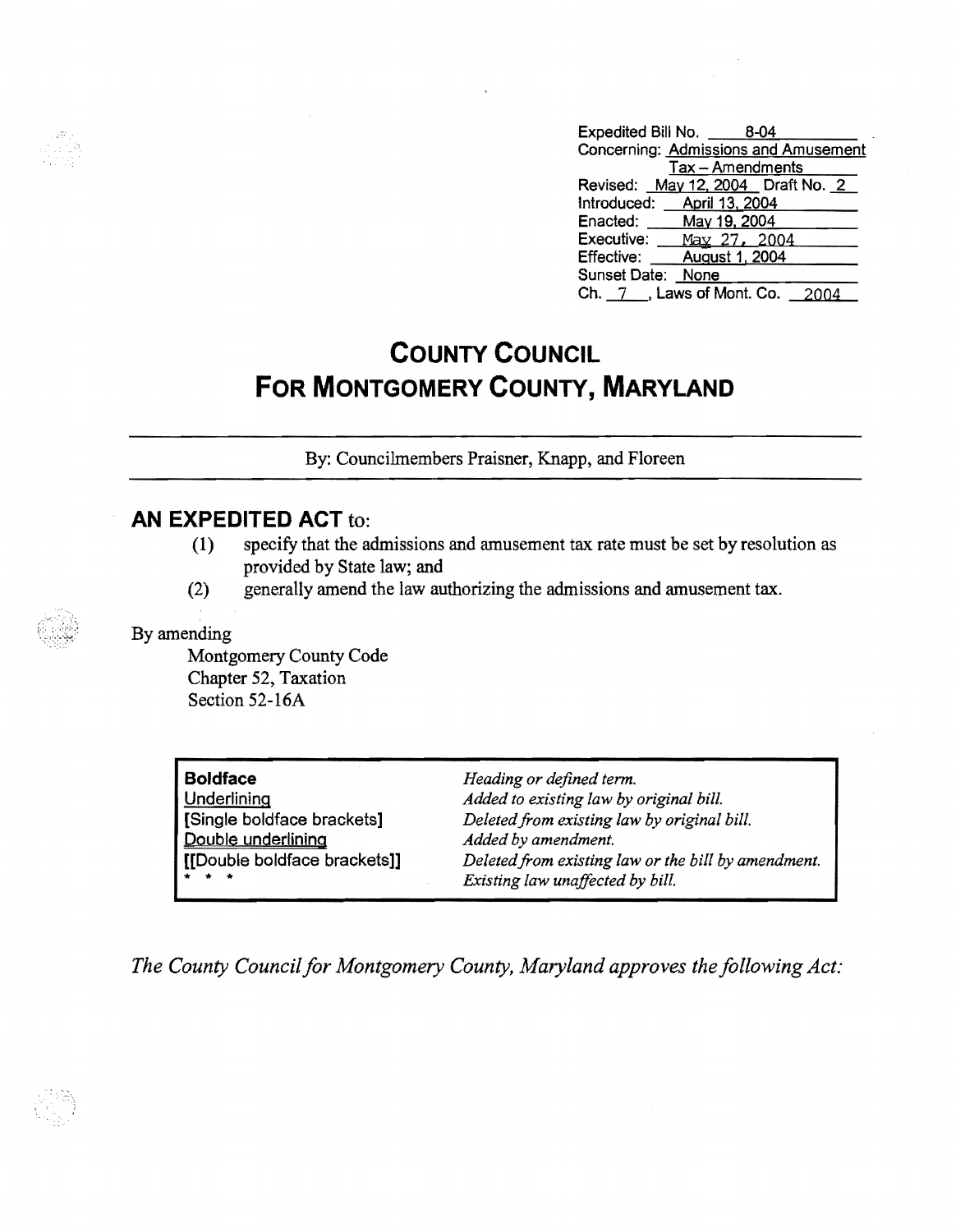| Expedited Bill No. 8-04              |
|--------------------------------------|
| Concerning: Admissions and Amusement |
| Tax - Amendments                     |
| Revised: May 12, 2004 Draft No. 2    |
| Introduced: April 13, 2004           |
| Enacted: May 19, 2004                |
| Executive: May 27, 2004              |
| Effective:<br>August 1, 2004         |
| Sunset Date:<br>None                 |
| Ch. 7 , Laws of Mont. Co.            |

# **COUNTY COUNCIL FOR MONTGOMERY COUNTY, MARYLAND**

By: Councilmembers Praisner, Knapp, and Floreen

# **AN EXPEDITED ACT** to:

- (1) specify that the admissions and amusement tax rate must be set by resolution as provided by State law; and
- (2) generally amend the law authorizing the admissions and amusement tax.

### By amending

Montgomery County Code Chapter 52, Taxation Section 52-16A

| <b>Boldface</b>              | Heading or defined term.                            |
|------------------------------|-----------------------------------------------------|
| Underlining                  | Added to existing law by original bill.             |
| [Single boldface brackets]   | Deleted from existing law by original bill.         |
| Double underlining           | Added by amendment.                                 |
| [[Double boldface brackets]] | Deleted from existing law or the bill by amendment. |
| * * *                        | Existing law unaffected by bill.                    |

*The County Council for Montgomery County, Maryland approves the following Act:* 

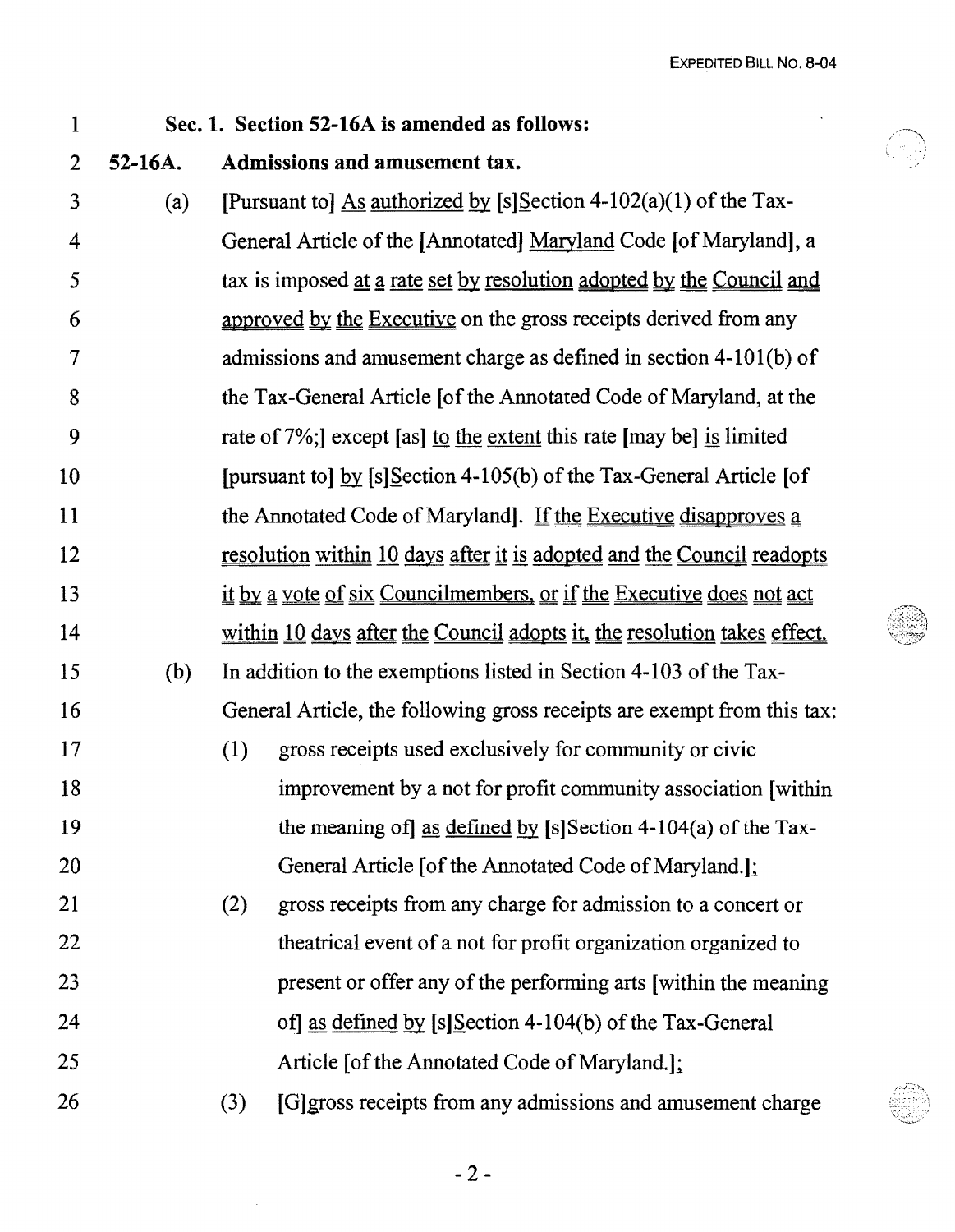## Sec. 1. Section 52-16A is amended as follows:

#### 2 52-16A. Admissions and amusement tax.

1

3 4 5 6 7 8 9 10 11 12 13 14 15 16 17 18 19 20 21 22 23 24 25 26 (a) [Pursuant to] As authorized by [s]Section 4-102(a)(1) of the Tax-General Article of the [Annotated] Maryland Code [of Maryland] , a tax is imposed at a rate set by resolution adopted by the Council and approved by the Executive on the gross receipts derived from any admissions and amusement charge as defined in section 4-101(b) of the Tax-General Article [of the Annotated Code of Maryland, at the rate of7%;] except [as] to the extent this rate [may be] is limited [pursuant to] by  $[s]$ Section 4-105(b) of the Tax-General Article [of the Annotated Code of Maryland]. If the Executive disapproves a resolution within 10 days after it is adopted and the Council readopts it by a vote of six Councilmembers, or if the Executive does not act within 10 days after the Council adopts it, the resolution takes effect. (b) In addition to the exemptions listed in Section 4-103 of the Tax-General Article, the following gross receipts are exempt from this tax: (1) gross receipts used exclusively for community or civic improvement by a not for profit community association [within the meaning of as defined by [s] Section 4-104(a) of the Tax-General Article [of the Annotated Code of Maryland.]: (2) gross receipts from any charge for admission to a concert or theatrical event ofa not for profit organization organized to present or offer any of the performing arts [within the meaning of] as defined by  $[s]$ Section 4-104(b) of the Tax-General Article [of the Annotated Code of Maryland.]: (3) [G]gross receipts from any admissions and amusement charge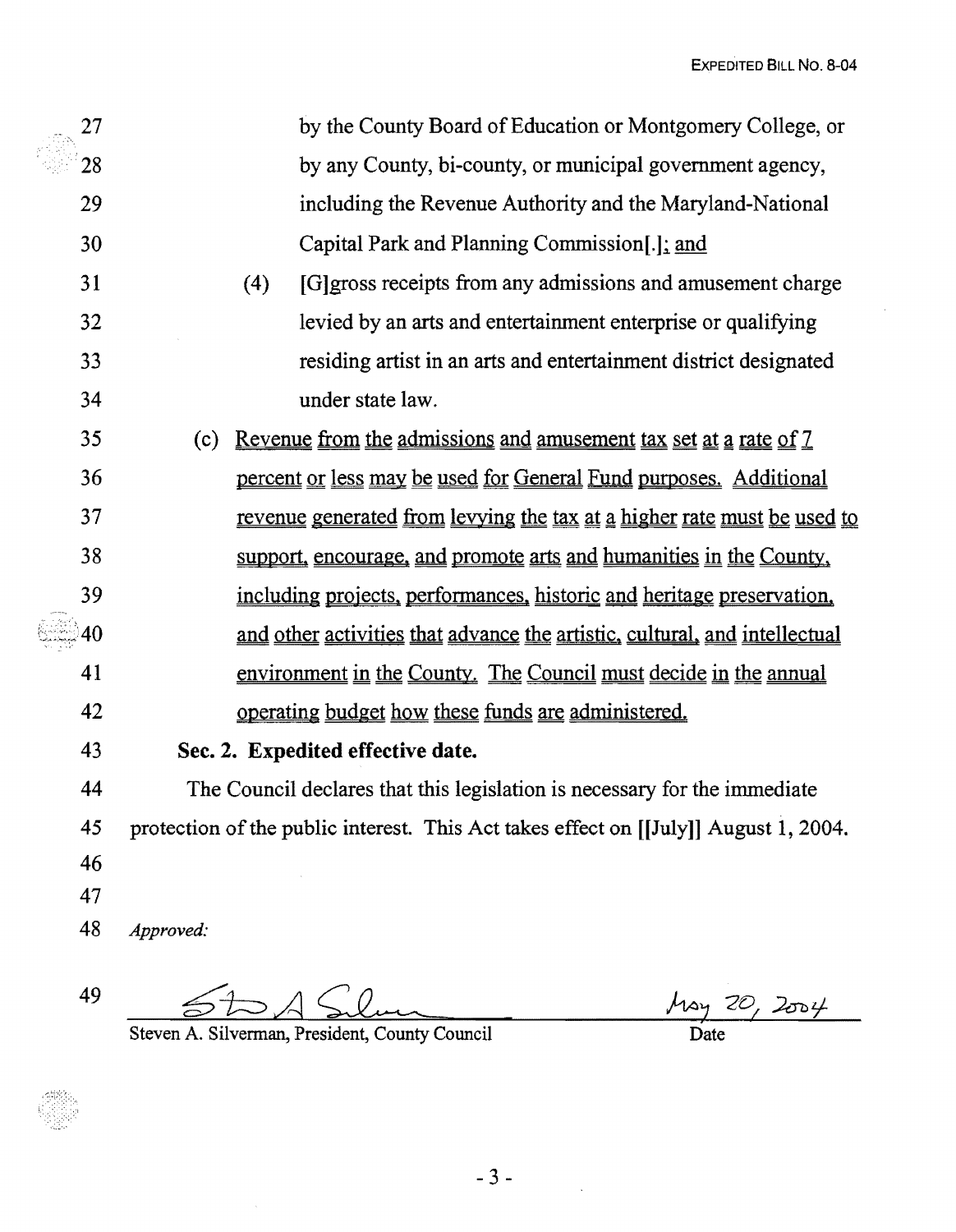|          | 27                                                                                                                                                                                                                                          | by the County Board of Education or Montgomery College, or                                                             |  |
|----------|---------------------------------------------------------------------------------------------------------------------------------------------------------------------------------------------------------------------------------------------|------------------------------------------------------------------------------------------------------------------------|--|
|          | 28                                                                                                                                                                                                                                          | by any County, bi-county, or municipal government agency,                                                              |  |
|          | 29                                                                                                                                                                                                                                          | including the Revenue Authority and the Maryland-National                                                              |  |
|          | 30                                                                                                                                                                                                                                          | Capital Park and Planning Commission[.]; and                                                                           |  |
|          | 31                                                                                                                                                                                                                                          | [G] gross receipts from any admissions and amusement charge<br>(4)                                                     |  |
|          | 32                                                                                                                                                                                                                                          | levied by an arts and entertainment enterprise or qualifying                                                           |  |
|          | 33                                                                                                                                                                                                                                          | residing artist in an arts and entertainment district designated                                                       |  |
|          | 34<br>under state law.                                                                                                                                                                                                                      |                                                                                                                        |  |
|          | 35                                                                                                                                                                                                                                          | <u>Revenue from the admissions and amusement tax set at a rate of 7</u><br>(c)                                         |  |
| 36<br>37 |                                                                                                                                                                                                                                             | percent or less may be used for General Fund purposes. Additional                                                      |  |
|          |                                                                                                                                                                                                                                             | <u>revenue generated from levying the tax at a higher rate must be used to</u>                                         |  |
|          | 38<br>support, encourage, and promote arts and humanities in the County,<br>39<br>including projects, performances, historic and heritage preservation,<br>and other activities that advance the artistic, cultural, and intellectual<br>40 |                                                                                                                        |  |
|          |                                                                                                                                                                                                                                             |                                                                                                                        |  |
|          |                                                                                                                                                                                                                                             |                                                                                                                        |  |
|          | 41                                                                                                                                                                                                                                          | environment in the County. The Council must decide in the annual<br>operating budget how these funds are administered. |  |
|          | 42                                                                                                                                                                                                                                          |                                                                                                                        |  |
|          | 43                                                                                                                                                                                                                                          | Sec. 2. Expedited effective date.                                                                                      |  |
|          | 44                                                                                                                                                                                                                                          | The Council declares that this legislation is necessary for the immediate                                              |  |
|          | 45                                                                                                                                                                                                                                          | protection of the public interest. This Act takes effect on [[July]] August 1, 2004.                                   |  |
|          | 46                                                                                                                                                                                                                                          |                                                                                                                        |  |
|          | 47                                                                                                                                                                                                                                          |                                                                                                                        |  |
|          | 48                                                                                                                                                                                                                                          | Approved:                                                                                                              |  |

 $49$   $5DA$ 

Steven A. Silvennan, President, County Council

 $\frac{\mu_{\alpha y} 20}{\text{Date}}$ 

 $\frac{1}{2}$  ,  $\frac{1}{2}$